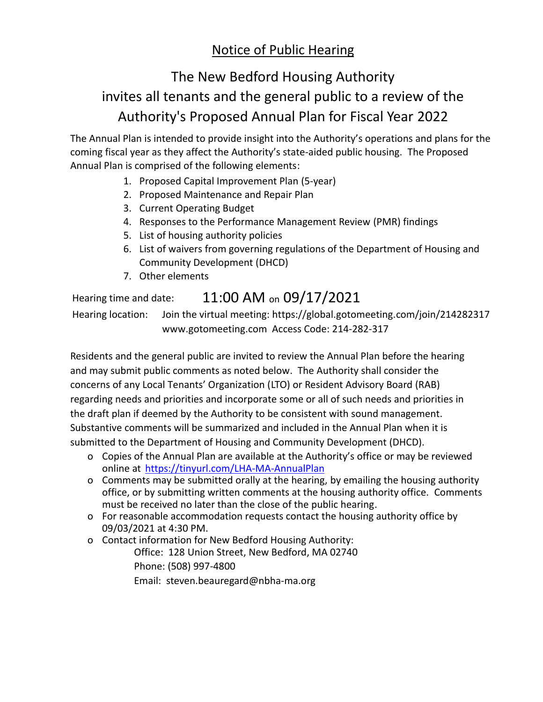## Notice of Public Hearing

# The New Bedford Housing Authority invites all tenants and the general public to a review of the Authority's Proposed Annual Plan for Fiscal Year 2022

The Annual Plan is intended to provide insight into the Authority's operations and plans for the coming fiscal year as they affect the Authority's state-aided public housing. The Proposed Annual Plan is comprised of the following elements:

- 1. Proposed Capital Improvement Plan (5-year)
- 2. Proposed Maintenance and Repair Plan
- 3. Current Operating Budget
- 4. Responses to the Performance Management Review (PMR) findings
- 5. List of housing authority policies
- 6. List of waivers from governing regulations of the Department of Housing and Community Development (DHCD)
- 7. Other elements

## Hearing time and date:  $11:00$  AM on  $09/17/2021$

Hearing location: Join the virtual meeting: https://global.gotomeeting.com/join/214282317 www.gotomeeting.com Access Code: 214-282-317

Residents and the general public are invited to review the Annual Plan before the hearing and may submit public comments as noted below. The Authority shall consider the concerns of any Local Tenants' Organization (LTO) or Resident Advisory Board (RAB) regarding needs and priorities and incorporate some or all of such needs and priorities in the draft plan if deemed by the Authority to be consistent with sound management. Substantive comments will be summarized and included in the Annual Plan when it is submitted to the Department of Housing and Community Development (DHCD).

- o Copies of the Annual Plan are available at the Authority's office or may be reviewed online at <https://tinyurl.com/LHA-MA-AnnualPlan>
- o Comments may be submitted orally at the hearing, by emailing the housing authority office, or by submitting written comments at the housing authority office. Comments must be received no later than the close of the public hearing.
- o For reasonable accommodation requests contact the housing authority office by 09/03/2021 at 4:30 PM.
- o Contact information for New Bedford Housing Authority:

Office: 128 Union Street, New Bedford, MA 02740 Phone: (508) 997-4800

Email: steven.beauregard@nbha-ma.org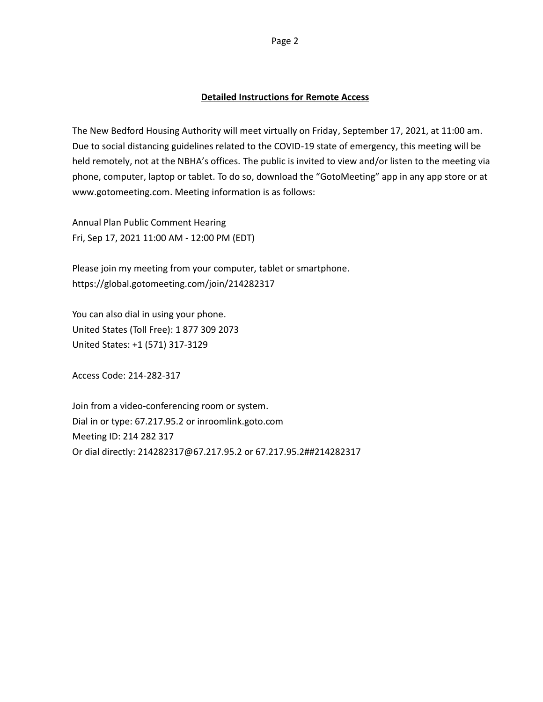The New Bedford Housing Authority will meet virtually on Friday, September 17, 2021, at 11:00 am. Due to social distancing guidelines related to the COVID-19 state of emergency, this meeting will be held remotely, not at the NBHA's offices. The public is invited to view and/or listen to the meeting via phone, computer, laptop or tablet. To do so, download the "GotoMeeting" app in any app store or at www.gotomeeting.com. Meeting information is as follows:

Annual Plan Public Comment Hearing Fri, Sep 17, 2021 11:00 AM - 12:00 PM (EDT)

Please join my meeting from your computer, tablet or smartphone. https://global.gotomeeting.com/join/214282317

You can also dial in using your phone. United States (Toll Free): 1 877 309 2073 United States: +1 (571) 317-3129

Access Code: 214-282-317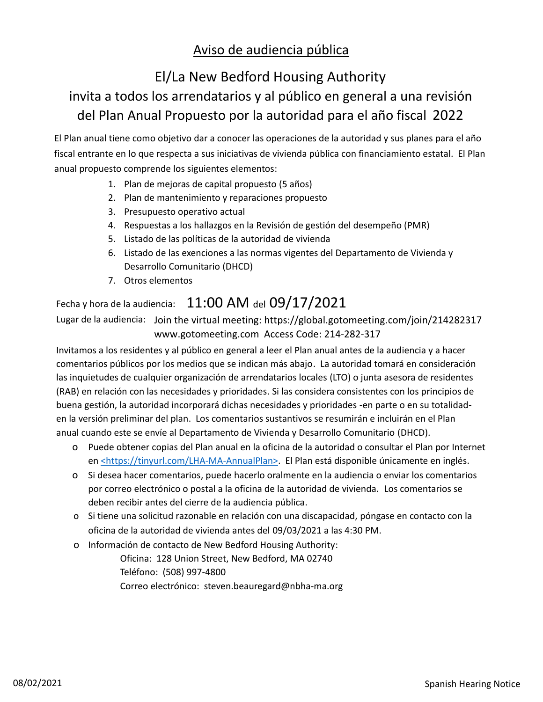## Aviso de audiencia pública

# El/La New Bedford Housing Authority

# invita a todos los arrendatarios y al público en general a una revisión del Plan Anual Propuesto por la autoridad para el año fiscal 2022

El Plan anual tiene como objetivo dar a conocer las operaciones de la autoridad y sus planes para el año fiscal entrante en lo que respecta a sus iniciativas de vivienda pública con financiamiento estatal. El Plan anual propuesto comprende los siguientes elementos:

- 1. Plan de mejoras de capital propuesto (5 años)
- 2. Plan de mantenimiento y reparaciones propuesto
- 3. Presupuesto operativo actual
- 4. Respuestas a los hallazgos en la Revisión de gestión del desempeño (PMR)
- 5. Listado de las políticas de la autoridad de vivienda
- 6. Listado de las exenciones a las normas vigentes del Departamento de Vivienda y Desarrollo Comunitario (DHCD)
- 7. Otros elementos

## Fecha y hora de la audiencia:  $11:00$  AM del  $09/17/2021$

Lugar de la audiencia: Join the virtual meeting: https://global.gotomeeting.com/join/214282317 www.gotomeeting.com Access Code: 214-282-317

Invitamos a los residentes y al público en general a leer el Plan anual antes de la audiencia y a hacer comentarios públicos por los medios que se indican más abajo. La autoridad tomará en consideración las inquietudes de cualquier organización de arrendatarios locales (LTO) o junta asesora de residentes (RAB) en relación con las necesidades y prioridades. Si las considera consistentes con los principios de buena gestión, la autoridad incorporará dichas necesidades y prioridades -en parte o en su totalidaden la versión preliminar del plan. Los comentarios sustantivos se resumirán e incluirán en el Plan anual cuando este se envíe al Departamento de Vivienda y Desarrollo Comunitario (DHCD).

- o Puede obtener copias del Plan anual en la oficina de la autoridad o consultar el Plan por Internet en <https://tinyurl.com/LHA-MA-AnnualPlan>. El Plan está disponible únicamente en inglés.
- o Si desea hacer comentarios, puede hacerlo oralmente en la audiencia o enviar los comentarios por correo electrónico o postal a la oficina de la autoridad de vivienda. Los comentarios se deben recibir antes del cierre de la audiencia pública.
- o Si tiene una solicitud razonable en relación con una discapacidad, póngase en contacto con la oficina de la autoridad de vivienda antes del 09/03/2021 a las 4:30 PM.
- o Información de contacto de New Bedford Housing Authority: Oficina: 128 Union Street, New Bedford, MA 02740 Teléfono: (508) 997-4800 Correo electrónico: steven.beauregard@nbha-ma.org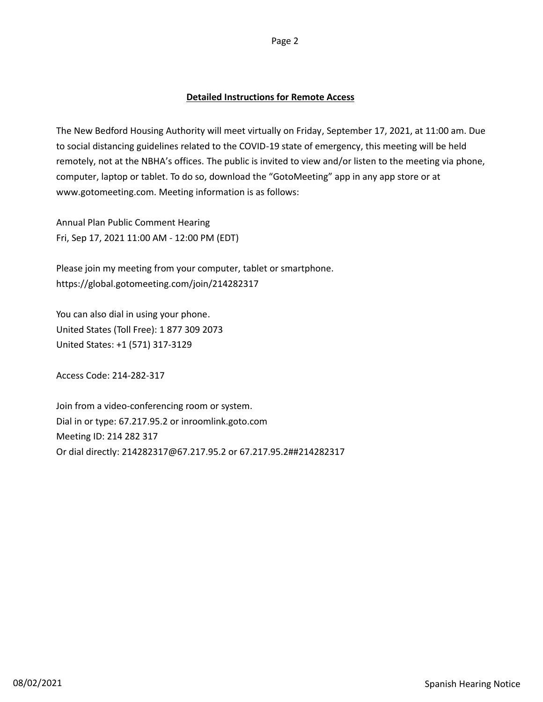The New Bedford Housing Authority will meet virtually on Friday, September 17, 2021, at 11:00 am. Due to social distancing guidelines related to the COVID-19 state of emergency, this meeting will be held remotely, not at the NBHA's offices. The public is invited to view and/or listen to the meeting via phone, computer, laptop or tablet. To do so, download the "GotoMeeting" app in any app store or at www.gotomeeting.com. Meeting information is as follows:

Annual Plan Public Comment Hearing Fri, Sep 17, 2021 11:00 AM - 12:00 PM (EDT)

Please join my meeting from your computer, tablet or smartphone. https://global.gotomeeting.com/join/214282317

You can also dial in using your phone. United States (Toll Free): 1 877 309 2073 United States: +1 (571) 317-3129

Access Code: 214-282-317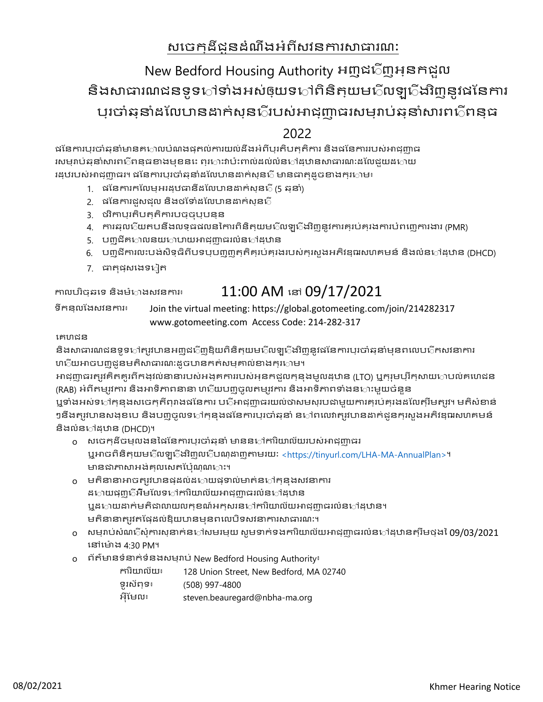## សចេក្ដដីជូនដំណឹងអំពីសវនការសាធារណ:

# New Bedford Housing Authority អញ្ជជញអ្នកជួល និងសាធារណជនទូទ឴ៅទាំងអស់ឲ្យយទៅពិនិត្យយមជិលឡជើងវិញនូវផនែការ ប្រចកំឆ្នកំដផលបកនដកក់ស្នជរបស់អកជ្ញកធរសម្រកប់ឆ្នកំសករពជពន្ធ

### 2022

ផនែការបុរចាំឆ្មួនាំមានគាហាបបំណងផ្ទុកល់ការយល់ដឹងអំពីប្បុរតិបត្តុតិការ និងផនែការរបស់អាជ្ញា្ហាធ រសម្មរាប់ឆ្កួនាំសារពាក់ពន្ធធខាងមុខនាះ ព្យាការវាប៉ះពាល់ដល់លំនាក់ងុយនាពេលដែលជួយដក្លាយ រដ្ឋបរបស់អាជុញ្ញាធរ។ ផនៃការបុរចាំឆុនាំដលែហនដាក់សុន្ទ្រី មានធាតុដូចខាងក្សាោម៖

- 1. ផផនកករកផលម្អរដ្ឋធកនីដផលបកនដកក់ស្នជ (5 ឆ្នកំ)
- 2. ផនៃការជួសជុល និងថទៅដលៃបានដាក់សុនក្
- 3. ថវិកកប្រតិបត្តិកករបច្ចុប្បន្ន
- 4. កករឆ្លជយតបនឹងលទ្ធផលននកករពិនិត្យមជលឡជងវិញនូវកករគ្រប់គ្រងកករបំពសញកករងករ (PMR)
- 5. ប៣ជីគាោលនយកោបាយអាជុញ្ញាធរលំនទៅដុឋាន
- 6. បញ្ជីកករលនបង់សិទ្ធិពីបទប្បញ្ញត្តិគ្រប់គ្រងរបស់ក្រសួងអភិវឌ្ឍសហគមន៍ និងលំនទដ្ឋកន (DHCD)
- 7. ធាតុផុសងេទៀត

### កាលបរិច្ឆុនទេ និងម៉**ោងសវនការ៖ 11:00 AM នៅ**  $09/17/2021$

ទីកន្លផងសវនកករ៖ Join the virtual meeting: https://global.gotomeeting.com/join/214282317 www.gotomeeting.com Access Code: 214-282-317

### សគហជន

និងសាធារណជនទូទ**ៅត្បូវបានអញ្ញជ**្រីញឱ្នយពិនិត្**យម**ើលឡ**ើងវិញនូវជនែការប្**រចាំឆ្**នាំមុនពលេប**ើកសវនាការ ហជ័យអាចបញ្ចូជូនមតិសាធារណ:ដូចបានកត់សម្មគាល់ខាងក្សក្រាម។

អកជ្ញកធរត្រូវគិតគូរពីកង្វល់នកនករបស់អង្គកកររបស់អ្នកជួលក្នុងមូលដ្ឋកន (LTO) ឬក្រុមប្រឹក្សកយគបល់គសហជន (RAB) អំពីតម្សវការ និងអាទិភាពនានា ហប្ល័យបញ្ចូលតម្បូវការ និងអាទិភាពទាំងនហះមួយចំនួន

ឬទាំងអស់ទ**ៅកុនងសចេកកីព្**រាងផនៃការ ប**្រីអា**ជ្ញាបារយល់ថាសមសុរបជាមួយការគុរប់គ្នាងដលៃត្បីមត្**រូវ។ មតិសំខាន់** ៗនឹងត្បូវបានសង្ខបប និងបញ្ចូលទទៅកុន្មងផនៃការប្បចាំឆ្**នាំ ន**ៅពលោត្បូវបានដាក់ជូនក្មួរសួងអភិវឌ្ឍរសហគមន៍ និងលំន**ៅ**ដុឋាន (DHCD)។

- o សសចក្ដីចម្លងននផផនកករប្រចកំឆ្នកំ មកននទកករិយកល័យរបស់អកជ្ញកធរ ឬអកចពិនិត្យមជលឡជងវិញលជបណ្ដកញតកមរយណ <https://tinyurl.com/LHA-MA-AnnualPlan>។ មានជាភាសាអង់គ្លាលសតប៉ែណ្ណសាះ។
- $_0$  មតិនានាអាចត្បូវបានផ្ទុឌល់ដកោយផ្ទុទាល់មាត់ន឴ៅក្មនុងសវនាការ ដ**ោយផុញ**ើអឺមលែទ**ៅការិយាល័យអា**ជ្ញញាធរលំន**ៅដ្**ឋាន ឬដាយដាក់មតិជាលាយលក្ខខណ៍អកុសរនទៅការិយាល័យអាជុញាធរលំនទៅដុឋាន។ មតិនានាត្បូវតម្កែដល់ឱ្យយកនមុនពលេបិទសវនាការសាធារណ:។
- o សម្រកប់សំណជសុំកករស្នកក់នទសមរម្យ សូមទកក់ទងកករិយកល័យអកជ្ញកធរលំនទដ្ឋកនត្រឹមថ្ងន 09/03/2021 សនសម៉ ង 4:30 PM។
- o ព័ត៌មកនទំនកក់ទំនងសម្រកប់ New Bedford Housing Authority៖
	- កករិយកល័យ៖ 128 Union Street, New Bedford, MA 02740
	- ទូរស័ព្ទ៖ (508) 997-4800
	- អុីផមល៖ steven.beauregard@nbha-ma.org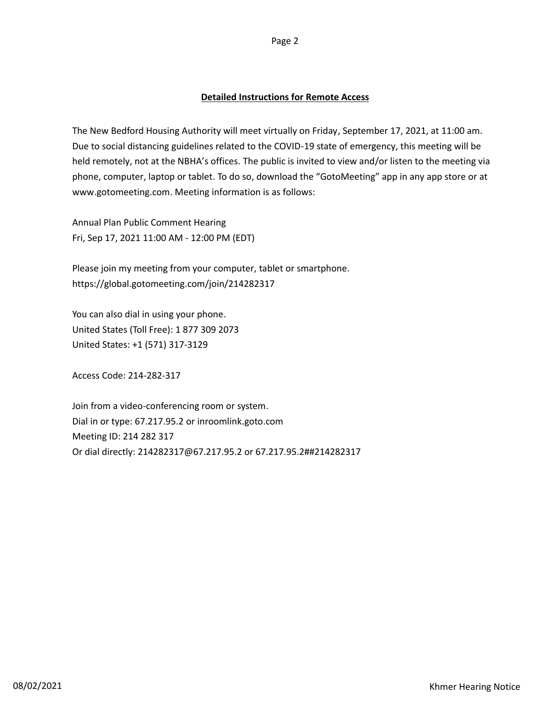The New Bedford Housing Authority will meet virtually on Friday, September 17, 2021, at 11:00 am. Due to social distancing guidelines related to the COVID-19 state of emergency, this meeting will be held remotely, not at the NBHA's offices. The public is invited to view and/or listen to the meeting via phone, computer, laptop or tablet. To do so, download the "GotoMeeting" app in any app store or at www.gotomeeting.com. Meeting information is as follows:

Annual Plan Public Comment Hearing Fri, Sep 17, 2021 11:00 AM - 12:00 PM (EDT)

Please join my meeting from your computer, tablet or smartphone. https://global.gotomeeting.com/join/214282317

You can also dial in using your phone. United States (Toll Free): 1 877 309 2073 United States: +1 (571) 317-3129

Access Code: 214-282-317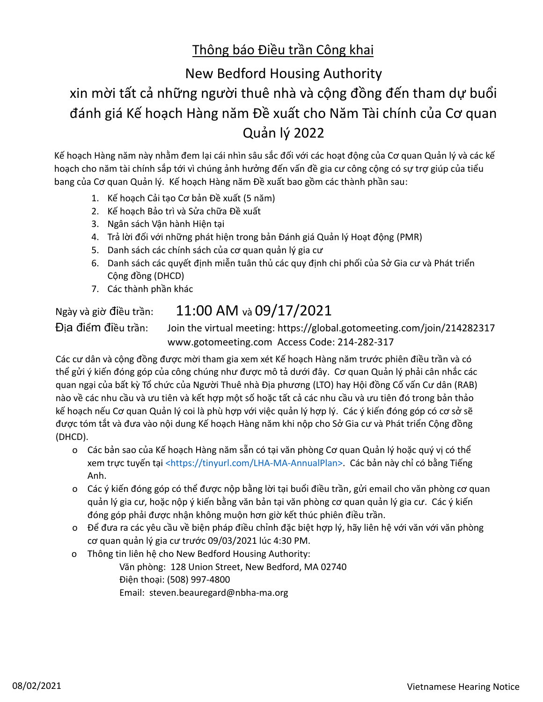## Thông báo Điều trần Công khai

# New Bedford Housing Authority xin mời tất cả những người thuê nhà và cộng đồng đến tham dự buổi đánh giá Kế hoạch Hàng năm Đề xuất cho Năm Tài chính của Cơ quan Quản lý 2022

Kế hoạch Hàng năm này nhằm đem lại cái nhìn sâu sắc đối với các hoạt động của Cơ quan Quản lý và các kế hoạch cho năm tài chính sắp tới vì chúng ảnh hưởng đến vấn đề gia cư công cộng có sự trợ giúp của tiểu bang của Cơ quan Quản lý. Kế hoạch Hàng năm Đề xuất bao gồm các thành phần sau:

- 1. Kế hoạch Cải tạo Cơ bản Đề xuất (5 năm)
- 2. Kế hoạch Bảo trì và Sửa chữa Đề xuất
- 3. Ngân sách Vận hành Hiện tại
- 4. Trả lời đối với những phát hiện trong bản Đánh giá Quản lý Hoạt động (PMR)
- 5. Danh sách các chính sách của cơ quan quản lý gia cư
- 6. Danh sách các quyết định miễn tuân thủ các quy định chi phối của Sở Gia cư và Phát triển Cộng đồng (DHCD)
- 7. Các thành phần khác

# Ngày và giờ điều trần: 11:00 AM và 09/17/2021

Địa điểm điều trần: Join the virtual meeting: https://global.gotomeeting.com/join/214282317 www.gotomeeting.com Access Code: 214-282-317

Các cư dân và cộng đồng được mời tham gia xem xét Kế hoạch Hàng năm trước phiên điều trần và có thể gửi ý kiến đóng góp của công chúng như được mô tả dưới đây. Cơ quan Quản lý phải cân nhắc các quan ngại của bất kỳ Tổ chức của Người Thuê nhà Địa phương (LTO) hay Hội đồng Cố vấn Cư dân (RAB) nào về các nhu cầu và ưu tiên và kết hợp một số hoặc tất cả các nhu cầu và ưu tiên đó trong bản thảo kế hoạch nếu Cơ quan Quản lý coi là phù hợp với việc quản lý hợp lý. Các ý kiến đóng góp có cơ sở sẽ được tóm tắt và đưa vào nội dung Kế hoạch Hàng năm khi nộp cho Sở Gia cư và Phát triển Cộng đồng (DHCD).

- o Các bản sao của Kế hoạch Hàng năm sẵn có tại văn phòng Cơ quan Quản lý hoặc quý vị có thể xem trực tuyến tại <https://tinyurl.com/LHA-MA-AnnualPlan>. Các bản này chỉ có bằng Tiếng Anh.
- o Các ý kiến đóng góp có thể được nộp bằng lời tại buổi điều trần, gửi email cho văn phòng cơ quan quản lý gia cư, hoặc nộp ý kiến bằng văn bản tại văn phòng cơ quan quản lý gia cư. Các ý kiến đóng góp phải được nhận không muộn hơn giờ kết thúc phiên điều trần.
- o Để đưa ra các yêu cầu về biện pháp điều chỉnh đặc biệt hợp lý, hãy liên hệ với văn với văn phòng cơ quan quản lý gia cư trước 09/03/2021 lúc 4:30 PM.
- o Thông tin liên hệ cho New Bedford Housing Authority:
	- Văn phòng: 128 Union Street, New Bedford, MA 02740 Điện thoại: (508) 997-4800 Email: steven.beauregard@nbha-ma.org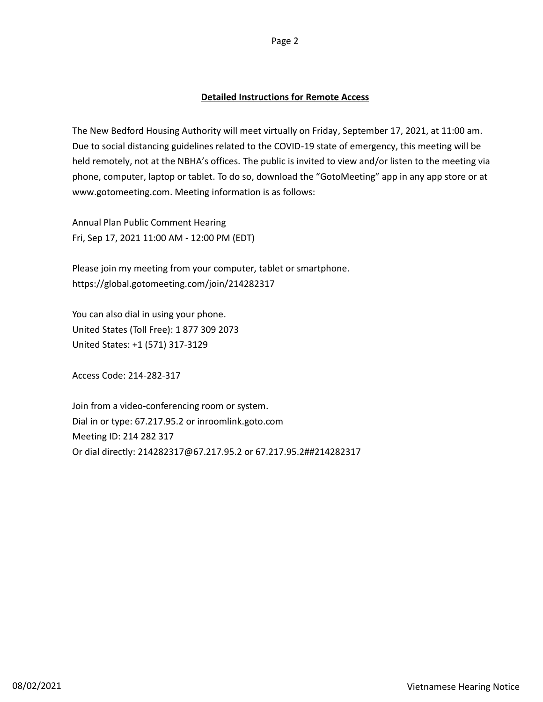The New Bedford Housing Authority will meet virtually on Friday, September 17, 2021, at 11:00 am. Due to social distancing guidelines related to the COVID-19 state of emergency, this meeting will be held remotely, not at the NBHA's offices. The public is invited to view and/or listen to the meeting via phone, computer, laptop or tablet. To do so, download the "GotoMeeting" app in any app store or at www.gotomeeting.com. Meeting information is as follows:

Annual Plan Public Comment Hearing Fri, Sep 17, 2021 11:00 AM - 12:00 PM (EDT)

Please join my meeting from your computer, tablet or smartphone. https://global.gotomeeting.com/join/214282317

You can also dial in using your phone. United States (Toll Free): 1 877 309 2073 United States: +1 (571) 317-3129

Access Code: 214-282-317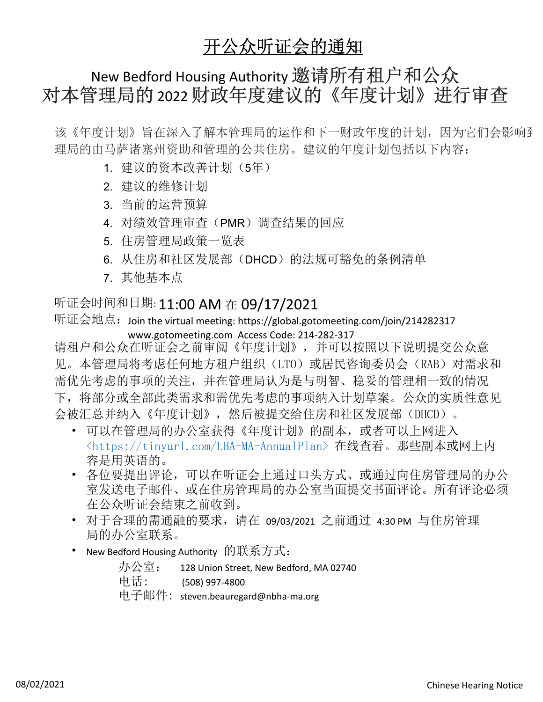# 开公众听证会的通知

# New Bedford Housing Authority 邀请所有租户和公众 对本管理局的 2022 财政年度建议的《年度计划》进行审查

该《年度计划》旨在深入了解本管理局的运作和下一财政年度的计划,因为它们会影响到 理局的由马萨诸塞州资助和管理的公共住房。建议的年度计划包括以下内容:

- 1. 建议的资本改善计划(5年)
- 2. 建议的维修计划
- 3. 当前的运营预算
- 4. 对绩效管理审查(PMR)调查结果的回应
- 5. 住房管理局政策一览表
- 6. 从住房和社区发展部(DHCD)的法规可豁免的条例清单
- 7. 其他基本点

# 听证会时间和日期: 11:00 AM 在 09/17/2021

听证会地点: Join the virtual meeting: https://global.gotomeeting.com/join/214282317 www.gotomeeting.com Access Code: 214-282-317

请租户和公众在听证会之前审阅《年度计划》,并可以按照以下说明提交公众意 见。本管理局将考虑任何地方租户组织(LTO)或居民咨询委员会(RAB)对需求和 需优先考虑的事项的关注,并在管理局认为是与明智、稳妥的管理相一致的情况 下,将部分或全部此类需求和需优先考虑的事项纳入计划草案。公众的实质性意见 会被汇总并纳入《年度计划》,然后被提交给住房和社区发展部(DHCD)。

- 可以在管理局的办公室获得《年度计划》的副本,或者可以上网进入 <https://tinyurl.com/LHA-MA-AnnualPlan> 在线查看。那些副本或网上内 容是用英语的。
- 各位要提出评论,可以在听证会上通过口头方式、或通过向住房管理局的办公 室发送电子邮件、或在住房管理局的办公室当面提交书面评论。所有评论必须 在公众听证会结束之前收到。
- 对于合理的需通融的要求,请在 09/03/2021 之前通过 4:30 PM 与住房管理 局的办公室联系。
- New Bedford Housing Authority 的联系方式:

办公室: 128 Union Street, New Bedford, MA 02740 电话: (508) 997-4800 电子邮件: steven.beauregard@nbha-ma.org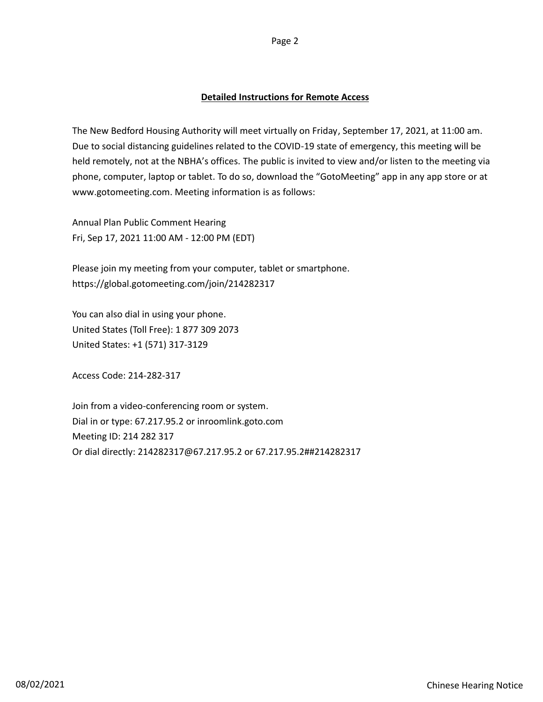The New Bedford Housing Authority will meet virtually on Friday, September 17, 2021, at 11:00 am. Due to social distancing guidelines related to the COVID-19 state of emergency, this meeting will be held remotely, not at the NBHA's offices. The public is invited to view and/or listen to the meeting via phone, computer, laptop or tablet. To do so, download the "GotoMeeting" app in any app store or at www.gotomeeting.com. Meeting information is as follows:

Annual Plan Public Comment Hearing Fri, Sep 17, 2021 11:00 AM - 12:00 PM (EDT)

Please join my meeting from your computer, tablet or smartphone. https://global.gotomeeting.com/join/214282317

You can also dial in using your phone. United States (Toll Free): 1 877 309 2073 United States: +1 (571) 317-3129

Access Code: 214-282-317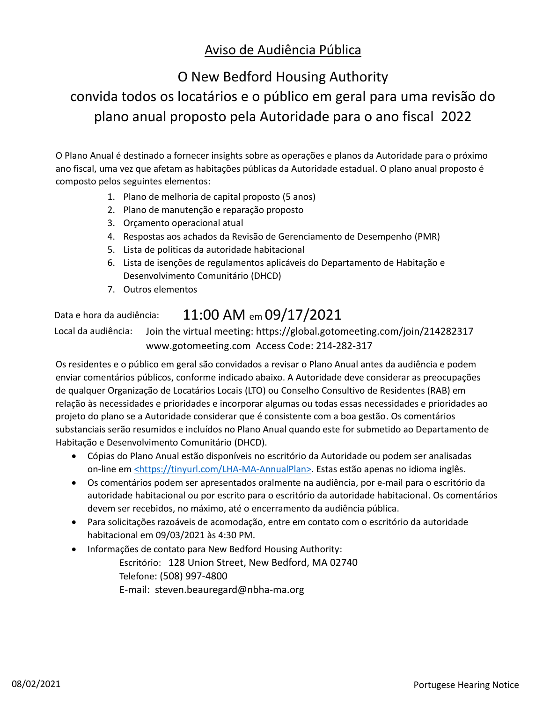## Aviso de Audiência Pública

# O New Bedford Housing Authority

## convida todos os locatários e o público em geral para uma revisão do plano anual proposto pela Autoridade para o ano fiscal 2022

O Plano Anual é destinado a fornecer insights sobre as operações e planos da Autoridade para o próximo ano fiscal, uma vez que afetam as habitações públicas da Autoridade estadual. O plano anual proposto é composto pelos seguintes elementos:

- 1. Plano de melhoria de capital proposto (5 anos)
- 2. Plano de manutenção e reparação proposto
- 3. Orçamento operacional atual
- 4. Respostas aos achados da Revisão de Gerenciamento de Desempenho (PMR)
- 5. Lista de políticas da autoridade habitacional
- 6. Lista de isenções de regulamentos aplicáveis do Departamento de Habitação e Desenvolvimento Comunitário (DHCD)
- 7. Outros elementos

## Data e hora da audiência: 11:00 AM em 09/17/2021

Local da audiência: Join the virtual meeting: https://global.gotomeeting.com/join/214282317 www.gotomeeting.com Access Code: 214-282-317

Os residentes e o público em geral são convidados a revisar o Plano Anual antes da audiência e podem enviar comentários públicos, conforme indicado abaixo. A Autoridade deve considerar as preocupações de qualquer Organização de Locatários Locais (LTO) ou Conselho Consultivo de Residentes (RAB) em relação às necessidades e prioridades e incorporar algumas ou todas essas necessidades e prioridades ao projeto do plano se a Autoridade considerar que é consistente com a boa gestão. Os comentários substanciais serão resumidos e incluídos no Plano Anual quando este for submetido ao Departamento de Habitação e Desenvolvimento Comunitário (DHCD).

- · Cópias do Plano Anual estão disponíveis no escritório da Autoridade ou podem ser analisadas on-line em <https://tinyurl.com/LHA-MA-AnnualPlan>. Estas estão apenas no idioma inglês.
- · Os comentários podem ser apresentados oralmente na audiência, por e-mail para o escritório da autoridade habitacional ou por escrito para o escritório da autoridade habitacional. Os comentários devem ser recebidos, no máximo, até o encerramento da audiência pública.
- · Para solicitações razoáveis de acomodação, entre em contato com o escritório da autoridade habitacional em 09/03/2021 às 4:30 PM.
- · Informações de contato para New Bedford Housing Authority: Escritório: 128 Union Street, New Bedford, MA 02740 Telefone: (508) 997-4800 E-mail: steven.beauregard@nbha-ma.org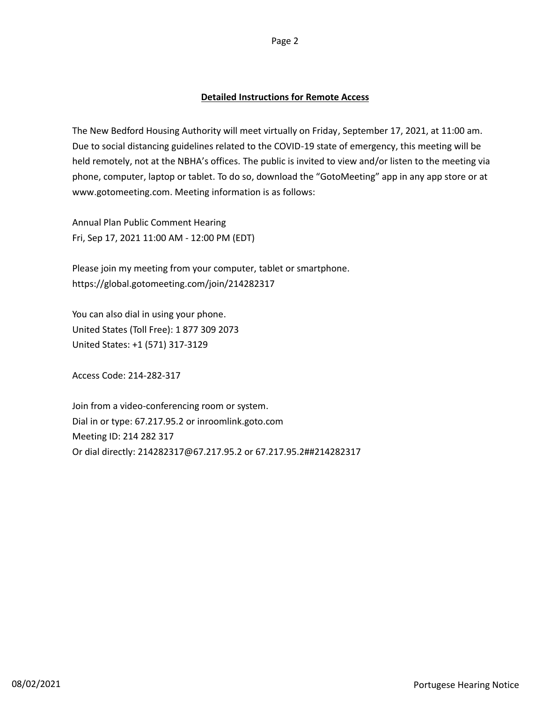The New Bedford Housing Authority will meet virtually on Friday, September 17, 2021, at 11:00 am. Due to social distancing guidelines related to the COVID-19 state of emergency, this meeting will be held remotely, not at the NBHA's offices. The public is invited to view and/or listen to the meeting via phone, computer, laptop or tablet. To do so, download the "GotoMeeting" app in any app store or at www.gotomeeting.com. Meeting information is as follows:

Annual Plan Public Comment Hearing Fri, Sep 17, 2021 11:00 AM - 12:00 PM (EDT)

Please join my meeting from your computer, tablet or smartphone. https://global.gotomeeting.com/join/214282317

You can also dial in using your phone. United States (Toll Free): 1 877 309 2073 United States: +1 (571) 317-3129

Access Code: 214-282-317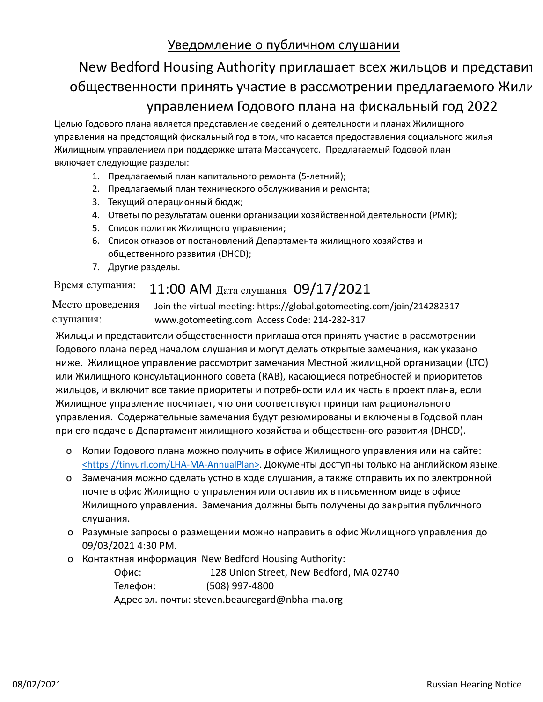### Уведомление о публичном слушании

# New Bedford Housing Authority приглашает всех жильцов и представит общественности принять участие в рассмотрении предлагаемого Жили управлением Годового плана на фискальный год 2022

Целью Годового плана является представление сведений о деятельности и планах Жилищного управления на предстоящий фискальный год в том, что касается предоставления социального жилья Жилищным управлением при поддержке штата Массачусетс. Предлагаемый Годовой план включает следующие разделы:

- 1. Предлагаемый план капитального ремонта (5-летний);
- 2. Предлагаемый план технического обслуживания и ремонта;
- 3. Текущий операционный бюдж;
- 4. Ответы по результатам оценки организации хозяйственной деятельности (PMR);
- 5. Список политик Жилищного управления;
- 6. Список отказов от постановлений Департамента жилищного хозяйства и общественного развития (DHCD);
- 7. Другие разделы.

## Время слушания: 11:00 AM Дата слушания  $09/17/2021$

Место проведения слушания: Join the virtual meeting: https://global.gotomeeting.com/join/214282317 www.gotomeeting.com Access Code: 214-282-317

Жильцы и представители общественности приглашаются принять участие в рассмотрении Годового плана перед началом слушания и могут делать открытые замечания, как указано ниже. Жилищное управление рассмотрит замечания Местной жилищной организации (LTO) или Жилищного консультационного совета (RAB), касающиеся потребностей и приоритетов жильцов, и включит все такие приоритеты и потребности или их часть в проект плана, если Жилищное управление посчитает, что они соответствуют принципам рационального управления. Содержательные замечания будут резюмированы и включены в Годовой план при его подаче в Департамент жилищного хозяйства и общественного развития (DHCD).

- o Копии Годового плана можно получить в офисе Жилищного управления или на сайте: <https://tinyurl.com/LHA-MA-AnnualPlan>. Документы доступны только на английском языке.
- o Замечания можно сделать устно в ходе слушания, а также отправить их по электронной почте в офис Жилищного управления или оставив их в письменном виде в офисе Жилищного управления. Замечания должны быть получены до закрытия публичного слушания.
- o Разумные запросы о размещении можно направить в офис Жилищного управления до 09/03/2021 4:30 PM.
- o Контактная информация New Bedford Housing Authority:

Офис: 128 Union Street, New Bedford, MA 02740 Телефон: (508) 997-4800 Адрес эл. почты: steven.beauregard@nbha-ma.org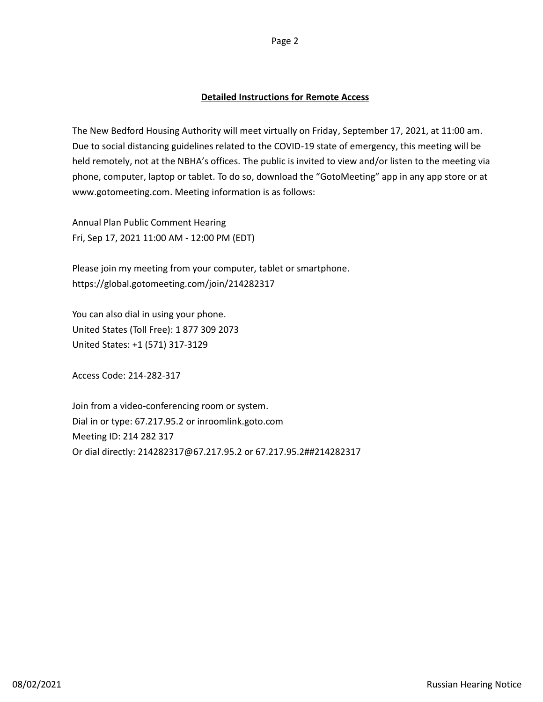The New Bedford Housing Authority will meet virtually on Friday, September 17, 2021, at 11:00 am. Due to social distancing guidelines related to the COVID-19 state of emergency, this meeting will be held remotely, not at the NBHA's offices. The public is invited to view and/or listen to the meeting via phone, computer, laptop or tablet. To do so, download the "GotoMeeting" app in any app store or at www.gotomeeting.com. Meeting information is as follows:

Annual Plan Public Comment Hearing Fri, Sep 17, 2021 11:00 AM - 12:00 PM (EDT)

Please join my meeting from your computer, tablet or smartphone. https://global.gotomeeting.com/join/214282317

You can also dial in using your phone. United States (Toll Free): 1 877 309 2073 United States: +1 (571) 317-3129

Access Code: 214-282-317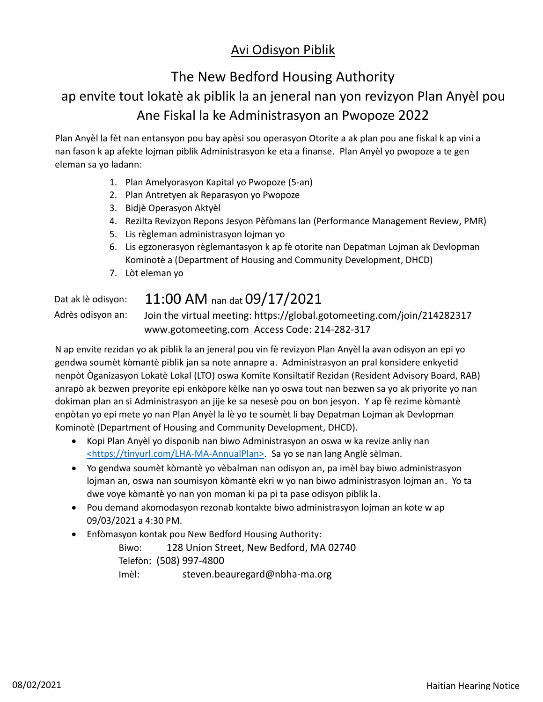## Avi Odisyon Piblik

# The New Bedford Housing Authority ap envite tout lokatè ak piblik la an jeneral nan yon revizyon Plan Anyèl pou Ane Fiskal la ke Administrasyon an Pwopoze 2022

Plan Anyèl la fèt nan entansyon pou bay apèsi sou operasyon Otorite a ak plan pou ane fiskal k ap vini a nan fason k ap afekte lojman piblik Administrasyon ke eta a finanse. Plan Anyèl yo pwopoze a te gen eleman sa yo ladann:

- 1. Plan Amelyorasyon Kapital yo Pwopoze (5-an)
- 2. Plan Antretyen ak Reparasyon yo Pwopoze
- 3. Bidjè Operasyon Aktyèl
- 4. Rezilta Revizyon Repons Jesyon Pèfòmans lan (Performance Management Review, PMR)
- 5. Lis règleman administrasyon lojman yo
- 6. Lis egzonerasyon règlemantasyon k ap fè otorite nan Depatman Lojman ak Devlopman Kominotè a (Department of Housing and Community Development, DHCD)
- 7. Lòt eleman yo

## Dat ak lè odisyon: 11:00 AM nan dat 09/17/2021

Adrès odisyon an: Join the virtual meeting: https://global.gotomeeting.com/join/214282317 www.gotomeeting.com Access Code: 214-282-317

N ap envite rezidan yo ak piblik la an jeneral pou vin fè revizyon Plan Anyèl la avan odisyon an epi yo gendwa soumèt kòmantè piblik jan sa note annapre a. Administrasyon an pral konsidere enkyetid nenpòt Òganizasyon Lokatè Lokal (LTO) oswa Komite Konsiltatif Rezidan (Resident Advisory Board, RAB) anrapò ak bezwen preyorite epi enkòpore kèlke nan yo oswa tout nan bezwen sa yo ak priyorite yo nan dokiman plan an si Administrasyon an jije ke sa nesesè pou on bon jesyon. Y ap fè rezime kòmantè enpòtan yo epi mete yo nan Plan Anyèl la lè yo te soumèt li bay Depatman Lojman ak Devlopman Kominotè (Department of Housing and Community Development, DHCD).

- · Kopi Plan Anyèl yo disponib nan biwo Administrasyon an oswa w ka revize anliy nan <https://tinyurl.com/LHA-MA-AnnualPlan>. Sa yo se nan lang Anglè sèlman.
- · Yo gendwa soumèt kòmantè yo vèbalman nan odisyon an, pa imèl bay biwo administrasyon lojman an, oswa nan soumisyon kòmantè ekri w yo nan biwo administrasyon lojman an. Yo ta dwe voye kòmantè yo nan yon moman ki pa pi ta pase odisyon piblik la.
- · Pou demand akomodasyon rezonab kontakte biwo administrasyon lojman an kote w ap 09/03/2021 a 4:30 PM.
- · Enfòmasyon kontak pou New Bedford Housing Authority:

Biwo: 128 Union Street, New Bedford, MA 02740 Telefòn: (508) 997-4800 Imèl: steven.beauregard@nbha-ma.org